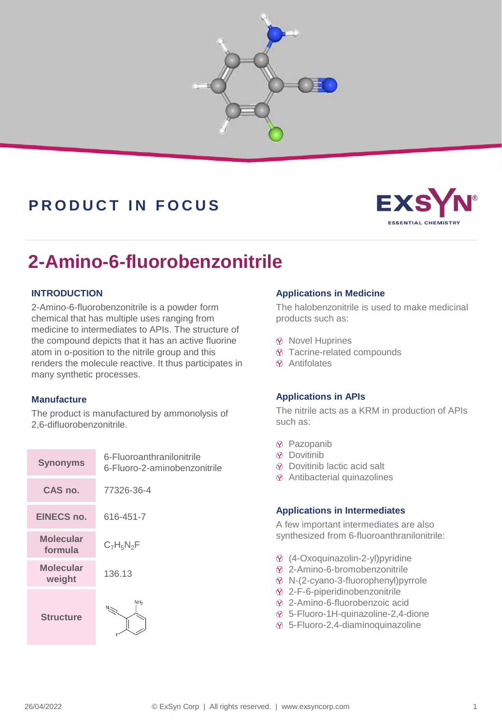

## **P R O D U C T I N F O C U S**



# **2-Amino-6-fluorobenzonitrile**

#### **INTRODUCTION**

2-Amino-6-fluorobenzonitrile is a powder form chemical that has multiple uses ranging from medicine to intermediates to APIs. The structure of the compound depicts that it has an active fluorine atom in o-position to the nitrile group and this renders the molecule reactive. It thus participates in many synthetic processes.

#### **Manufacture**

The product is manufactured by ammonolysis of 2,6-difluorobenzonitrile.

| <b>Synonyms</b>      | 6-Fluoroanthranilonitrile<br>6-Fluoro-2-aminobenzonitrile |  |
|----------------------|-----------------------------------------------------------|--|
| CAS no.              | 77326-36-4                                                |  |
| <b>EINECS no.</b>    | 616-451-7                                                 |  |
| Molecular<br>formula | $C_7H_5N_2F$                                              |  |
| Molecular<br>weight  | 136.13                                                    |  |
| <b>Structure</b>     | NН <sub>2</sub>                                           |  |

#### **Applications in Medicine**

The halobenzonitrile is used to make medicinal products such as:

- $\circledR$  Novel Huprines
- Tacrine-related compounds
- Antifolates

#### **Applications in APIs**

The nitrile acts as a KRM in production of APIs such as:

- Pazopanib
- $\Omega$  Dovitinib
- Dovitinib lactic acid salt
- Antibacterial quinazolines

#### **Applications in Intermediates**

A few important intermediates are also synthesized from 6-fluoroanthranilonitrile:

- (4-Oxoquinazolin-2-yl)pyridine
- 2-Amino-6-bromobenzonitrile
- N-(2-cyano-3-fluorophenyl)pyrrole
- 2-F-6-piperidinobenzonitrile
- 2-Amino-6-fluorobenzoic acid
- 5-Fluoro-1H-quinazoline-2,4-dione
- 5-Fluoro-2,4-diaminoquinazoline